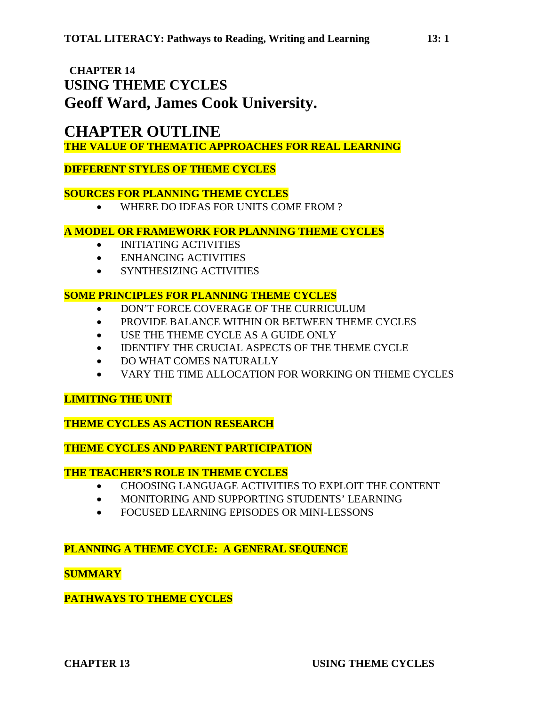## **CHAPTER 14 USING THEME CYCLES Geoff Ward, James Cook University.**

## **CHAPTER OUTLINE**

**THE VALUE OF THEMATIC APPROACHES FOR REAL LEARNING** 

**DIFFERENT STYLES OF THEME CYCLES** 

## **SOURCES FOR PLANNING THEME CYCLES**

• WHERE DO IDEAS FOR UNITS COME FROM ?

## **A MODEL OR FRAMEWORK FOR PLANNING THEME CYCLES**

- INITIATING ACTIVITIES
- ENHANCING ACTIVITIES
- SYNTHESIZING ACTIVITIES

## **SOME PRINCIPLES FOR PLANNING THEME CYCLES**

- DON'T FORCE COVERAGE OF THE CURRICULUM
- PROVIDE BALANCE WITHIN OR BETWEEN THEME CYCLES
- USE THE THEME CYCLE AS A GUIDE ONLY
- IDENTIFY THE CRUCIAL ASPECTS OF THE THEME CYCLE
- DO WHAT COMES NATURALLY
- VARY THE TIME ALLOCATION FOR WORKING ON THEME CYCLES

## **LIMITING THE UNIT**

**THEME CYCLES AS ACTION RESEARCH** 

**THEME CYCLES AND PARENT PARTICIPATION** 

## **THE TEACHER'S ROLE IN THEME CYCLES**

- CHOOSING LANGUAGE ACTIVITIES TO EXPLOIT THE CONTENT
- MONITORING AND SUPPORTING STUDENTS' LEARNING
- FOCUSED LEARNING EPISODES OR MINI-LESSONS

**PLANNING A THEME CYCLE: A GENERAL SEQUENCE** 

**SUMMARY** 

**PATHWAYS TO THEME CYCLES**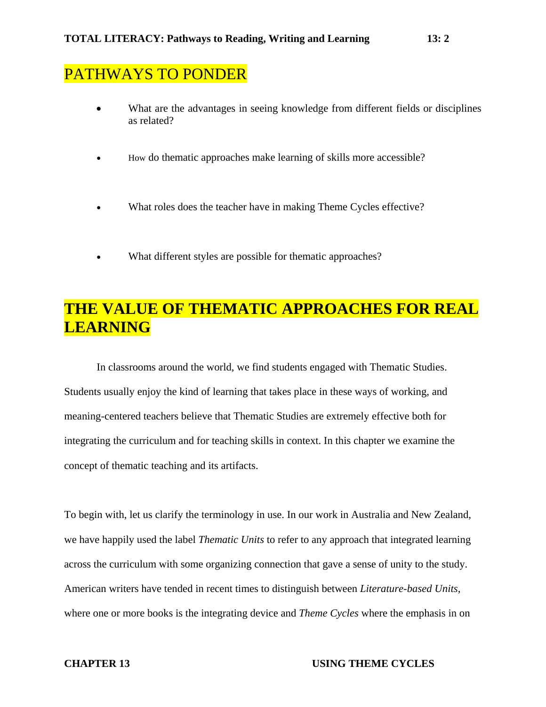## PATHWAYS TO PONDER

- What are the advantages in seeing knowledge from different fields or disciplines as related?
- How do thematic approaches make learning of skills more accessible?
- What roles does the teacher have in making Theme Cycles effective?
- What different styles are possible for thematic approaches?

# **THE VALUE OF THEMATIC APPROACHES FOR REAL LEARNING**

 In classrooms around the world, we find students engaged with Thematic Studies. Students usually enjoy the kind of learning that takes place in these ways of working, and meaning-centered teachers believe that Thematic Studies are extremely effective both for integrating the curriculum and for teaching skills in context. In this chapter we examine the concept of thematic teaching and its artifacts.

To begin with, let us clarify the terminology in use. In our work in Australia and New Zealand, we have happily used the label *Thematic Units* to refer to any approach that integrated learning across the curriculum with some organizing connection that gave a sense of unity to the study. American writers have tended in recent times to distinguish between *Literature-based Units,*  where one or more books is the integrating device and *Theme Cycles* where the emphasis in on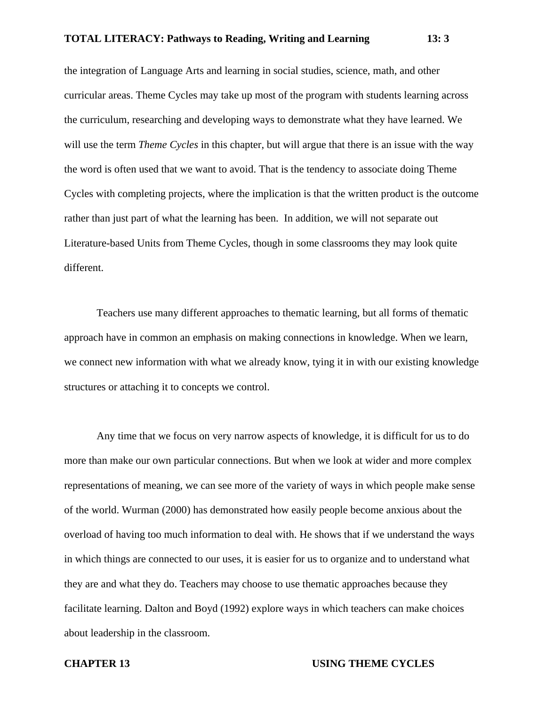the integration of Language Arts and learning in social studies, science, math, and other curricular areas. Theme Cycles may take up most of the program with students learning across the curriculum, researching and developing ways to demonstrate what they have learned. We will use the term *Theme Cycles* in this chapter, but will argue that there is an issue with the way the word is often used that we want to avoid. That is the tendency to associate doing Theme Cycles with completing projects, where the implication is that the written product is the outcome rather than just part of what the learning has been. In addition, we will not separate out Literature-based Units from Theme Cycles, though in some classrooms they may look quite different.

 Teachers use many different approaches to thematic learning, but all forms of thematic approach have in common an emphasis on making connections in knowledge. When we learn, we connect new information with what we already know, tying it in with our existing knowledge structures or attaching it to concepts we control.

 Any time that we focus on very narrow aspects of knowledge, it is difficult for us to do more than make our own particular connections. But when we look at wider and more complex representations of meaning, we can see more of the variety of ways in which people make sense of the world. Wurman (2000) has demonstrated how easily people become anxious about the overload of having too much information to deal with. He shows that if we understand the ways in which things are connected to our uses, it is easier for us to organize and to understand what they are and what they do. Teachers may choose to use thematic approaches because they facilitate learning. Dalton and Boyd (1992) explore ways in which teachers can make choices about leadership in the classroom.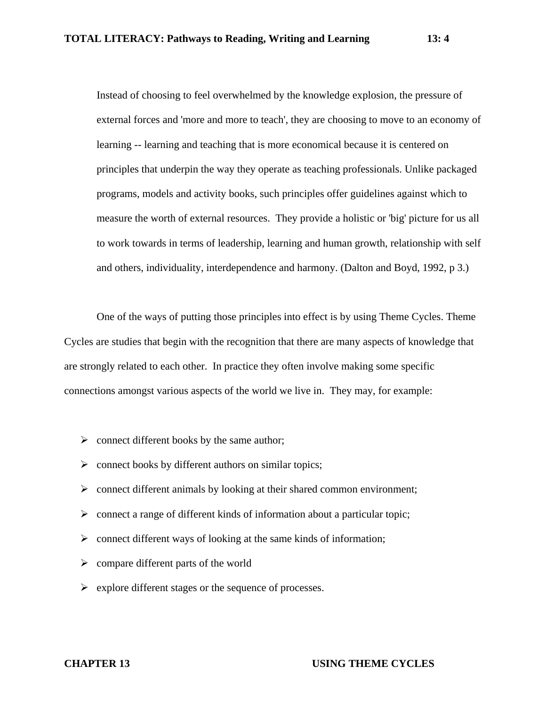Instead of choosing to feel overwhelmed by the knowledge explosion, the pressure of external forces and 'more and more to teach', they are choosing to move to an economy of learning -- learning and teaching that is more economical because it is centered on principles that underpin the way they operate as teaching professionals. Unlike packaged programs, models and activity books, such principles offer guidelines against which to measure the worth of external resources. They provide a holistic or 'big' picture for us all to work towards in terms of leadership, learning and human growth, relationship with self and others, individuality, interdependence and harmony. (Dalton and Boyd, 1992, p 3.)

 One of the ways of putting those principles into effect is by using Theme Cycles. Theme Cycles are studies that begin with the recognition that there are many aspects of knowledge that are strongly related to each other. In practice they often involve making some specific connections amongst various aspects of the world we live in. They may, for example:

- $\triangleright$  connect different books by the same author;
- $\triangleright$  connect books by different authors on similar topics;
- $\triangleright$  connect different animals by looking at their shared common environment;
- $\triangleright$  connect a range of different kinds of information about a particular topic;
- $\triangleright$  connect different ways of looking at the same kinds of information;
- $\triangleright$  compare different parts of the world
- $\triangleright$  explore different stages or the sequence of processes.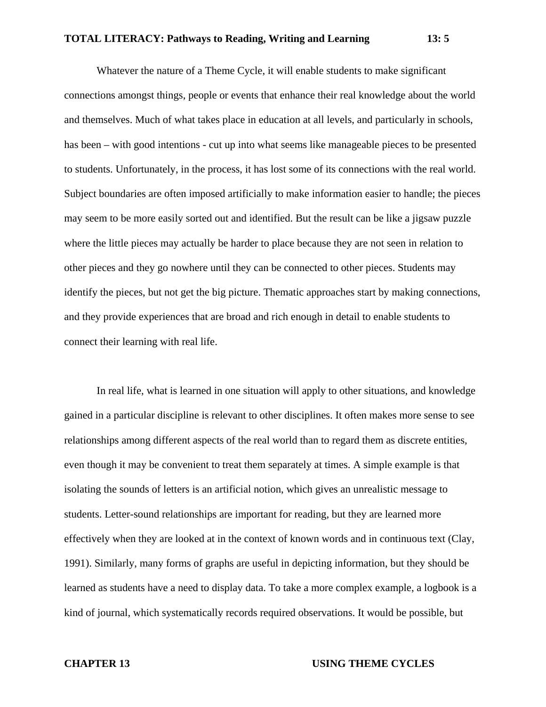Whatever the nature of a Theme Cycle, it will enable students to make significant connections amongst things, people or events that enhance their real knowledge about the world and themselves. Much of what takes place in education at all levels, and particularly in schools, has been – with good intentions - cut up into what seems like manageable pieces to be presented to students. Unfortunately, in the process, it has lost some of its connections with the real world. Subject boundaries are often imposed artificially to make information easier to handle; the pieces may seem to be more easily sorted out and identified. But the result can be like a jigsaw puzzle where the little pieces may actually be harder to place because they are not seen in relation to other pieces and they go nowhere until they can be connected to other pieces. Students may identify the pieces, but not get the big picture. Thematic approaches start by making connections, and they provide experiences that are broad and rich enough in detail to enable students to connect their learning with real life.

 In real life, what is learned in one situation will apply to other situations, and knowledge gained in a particular discipline is relevant to other disciplines. It often makes more sense to see relationships among different aspects of the real world than to regard them as discrete entities, even though it may be convenient to treat them separately at times. A simple example is that isolating the sounds of letters is an artificial notion, which gives an unrealistic message to students. Letter-sound relationships are important for reading, but they are learned more effectively when they are looked at in the context of known words and in continuous text (Clay, 1991). Similarly, many forms of graphs are useful in depicting information, but they should be learned as students have a need to display data. To take a more complex example, a logbook is a kind of journal, which systematically records required observations. It would be possible, but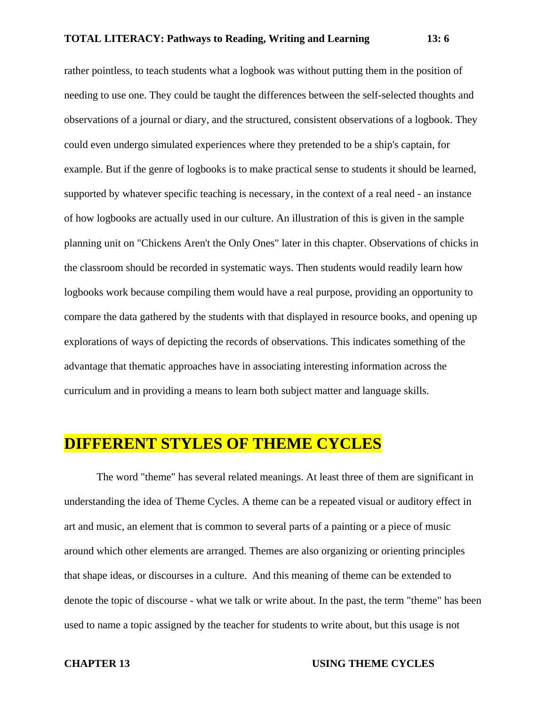rather pointless, to teach students what a logbook was without putting them in the position of needing to use one. They could be taught the differences between the self-selected thoughts and observations of a journal or diary, and the structured, consistent observations of a logbook. They could even undergo simulated experiences where they pretended to be a ship's captain, for example. But if the genre of logbooks is to make practical sense to students it should be learned, supported by whatever specific teaching is necessary, in the context of a real need - an instance of how logbooks are actually used in our culture. An illustration of this is given in the sample planning unit on "Chickens Aren't the Only Ones" later in this chapter. Observations of chicks in the classroom should be recorded in systematic ways. Then students would readily learn how logbooks work because compiling them would have a real purpose, providing an opportunity to compare the data gathered by the students with that displayed in resource books, and opening up explorations of ways of depicting the records of observations. This indicates something of the advantage that thematic approaches have in associating interesting information across the curriculum and in providing a means to learn both subject matter and language skills.

# **DIFFERENT STYLES OF THEME CYCLES**

 The word "theme" has several related meanings. At least three of them are significant in understanding the idea of Theme Cycles. A theme can be a repeated visual or auditory effect in art and music, an element that is common to several parts of a painting or a piece of music around which other elements are arranged. Themes are also organizing or orienting principles that shape ideas, or discourses in a culture. And this meaning of theme can be extended to denote the topic of discourse - what we talk or write about. In the past, the term "theme" has been used to name a topic assigned by the teacher for students to write about, but this usage is not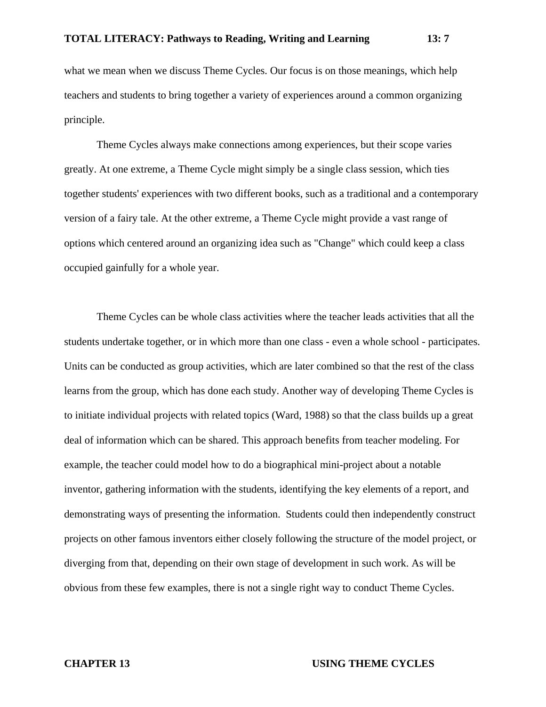what we mean when we discuss Theme Cycles. Our focus is on those meanings, which help teachers and students to bring together a variety of experiences around a common organizing principle.

 Theme Cycles always make connections among experiences, but their scope varies greatly. At one extreme, a Theme Cycle might simply be a single class session, which ties together students' experiences with two different books, such as a traditional and a contemporary version of a fairy tale. At the other extreme, a Theme Cycle might provide a vast range of options which centered around an organizing idea such as "Change" which could keep a class occupied gainfully for a whole year.

 Theme Cycles can be whole class activities where the teacher leads activities that all the students undertake together, or in which more than one class - even a whole school - participates. Units can be conducted as group activities, which are later combined so that the rest of the class learns from the group, which has done each study. Another way of developing Theme Cycles is to initiate individual projects with related topics (Ward, 1988) so that the class builds up a great deal of information which can be shared. This approach benefits from teacher modeling. For example, the teacher could model how to do a biographical mini-project about a notable inventor, gathering information with the students, identifying the key elements of a report, and demonstrating ways of presenting the information. Students could then independently construct projects on other famous inventors either closely following the structure of the model project, or diverging from that, depending on their own stage of development in such work. As will be obvious from these few examples, there is not a single right way to conduct Theme Cycles.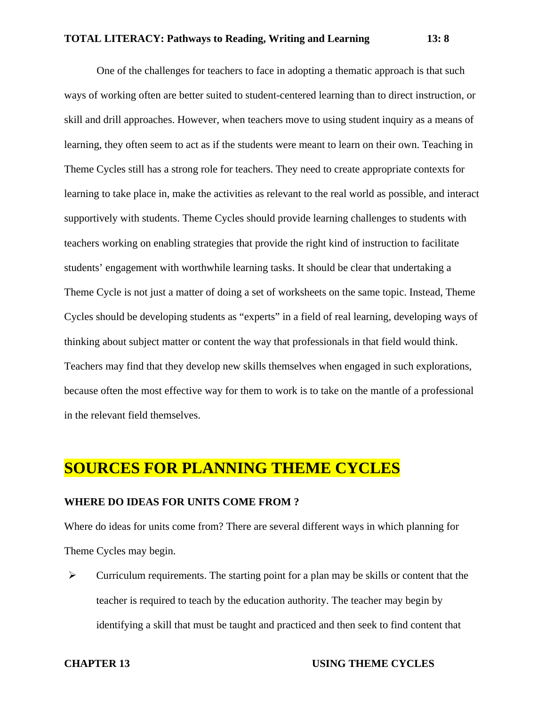One of the challenges for teachers to face in adopting a thematic approach is that such ways of working often are better suited to student-centered learning than to direct instruction, or skill and drill approaches. However, when teachers move to using student inquiry as a means of learning, they often seem to act as if the students were meant to learn on their own. Teaching in Theme Cycles still has a strong role for teachers. They need to create appropriate contexts for learning to take place in, make the activities as relevant to the real world as possible, and interact supportively with students. Theme Cycles should provide learning challenges to students with teachers working on enabling strategies that provide the right kind of instruction to facilitate students' engagement with worthwhile learning tasks. It should be clear that undertaking a Theme Cycle is not just a matter of doing a set of worksheets on the same topic. Instead, Theme Cycles should be developing students as "experts" in a field of real learning, developing ways of thinking about subject matter or content the way that professionals in that field would think. Teachers may find that they develop new skills themselves when engaged in such explorations, because often the most effective way for them to work is to take on the mantle of a professional in the relevant field themselves.

## **SOURCES FOR PLANNING THEME CYCLES**

### **WHERE DO IDEAS FOR UNITS COME FROM ?**

Where do ideas for units come from? There are several different ways in which planning for Theme Cycles may begin.

 $\triangleright$  Curriculum requirements. The starting point for a plan may be skills or content that the teacher is required to teach by the education authority. The teacher may begin by identifying a skill that must be taught and practiced and then seek to find content that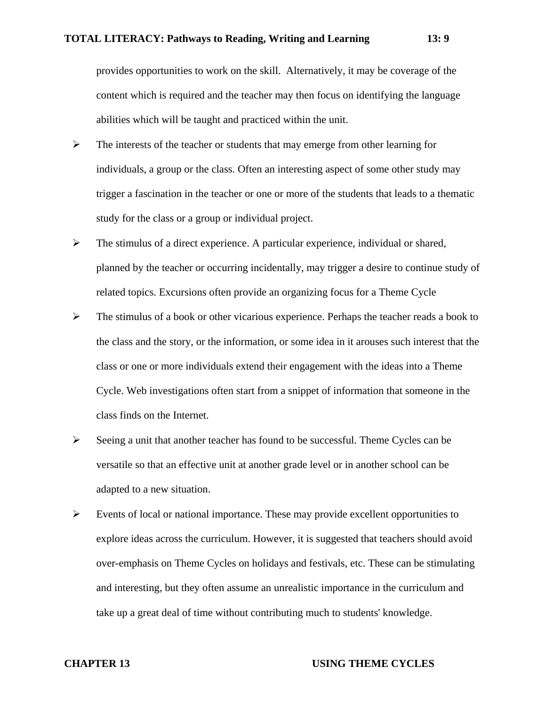provides opportunities to work on the skill. Alternatively, it may be coverage of the content which is required and the teacher may then focus on identifying the language abilities which will be taught and practiced within the unit.

- $\triangleright$  The interests of the teacher or students that may emerge from other learning for individuals, a group or the class. Often an interesting aspect of some other study may trigger a fascination in the teacher or one or more of the students that leads to a thematic study for the class or a group or individual project.
- ¾ The stimulus of a direct experience. A particular experience, individual or shared, planned by the teacher or occurring incidentally, may trigger a desire to continue study of related topics. Excursions often provide an organizing focus for a Theme Cycle
- $\triangleright$  The stimulus of a book or other vicarious experience. Perhaps the teacher reads a book to the class and the story, or the information, or some idea in it arouses such interest that the class or one or more individuals extend their engagement with the ideas into a Theme Cycle. Web investigations often start from a snippet of information that someone in the class finds on the Internet.
- $\triangleright$  Seeing a unit that another teacher has found to be successful. Theme Cycles can be versatile so that an effective unit at another grade level or in another school can be adapted to a new situation.
- $\triangleright$  Events of local or national importance. These may provide excellent opportunities to explore ideas across the curriculum. However, it is suggested that teachers should avoid over-emphasis on Theme Cycles on holidays and festivals, etc. These can be stimulating and interesting, but they often assume an unrealistic importance in the curriculum and take up a great deal of time without contributing much to students' knowledge.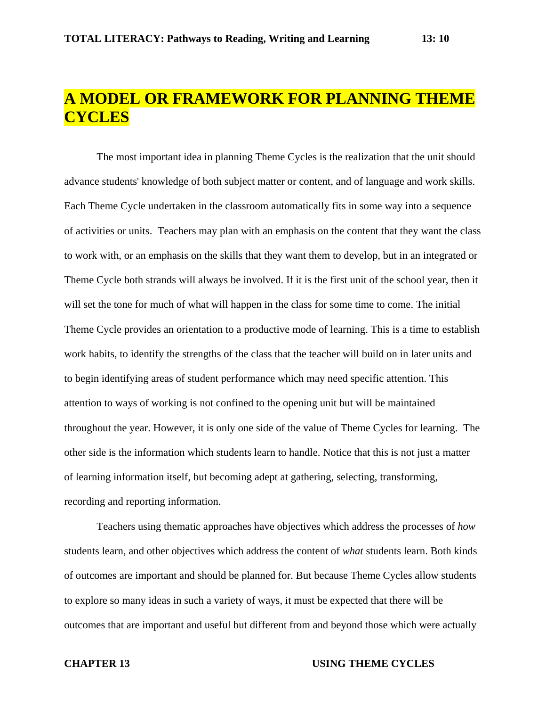The most important idea in planning Theme Cycles is the realization that the unit should advance students' knowledge of both subject matter or content, and of language and work skills. Each Theme Cycle undertaken in the classroom automatically fits in some way into a sequence of activities or units. Teachers may plan with an emphasis on the content that they want the class to work with, or an emphasis on the skills that they want them to develop, but in an integrated or Theme Cycle both strands will always be involved. If it is the first unit of the school year, then it will set the tone for much of what will happen in the class for some time to come. The initial Theme Cycle provides an orientation to a productive mode of learning. This is a time to establish work habits, to identify the strengths of the class that the teacher will build on in later units and to begin identifying areas of student performance which may need specific attention. This attention to ways of working is not confined to the opening unit but will be maintained throughout the year. However, it is only one side of the value of Theme Cycles for learning. The other side is the information which students learn to handle. Notice that this is not just a matter of learning information itself, but becoming adept at gathering, selecting, transforming, recording and reporting information.

 Teachers using thematic approaches have objectives which address the processes of *how* students learn, and other objectives which address the content of *what* students learn. Both kinds of outcomes are important and should be planned for. But because Theme Cycles allow students to explore so many ideas in such a variety of ways, it must be expected that there will be outcomes that are important and useful but different from and beyond those which were actually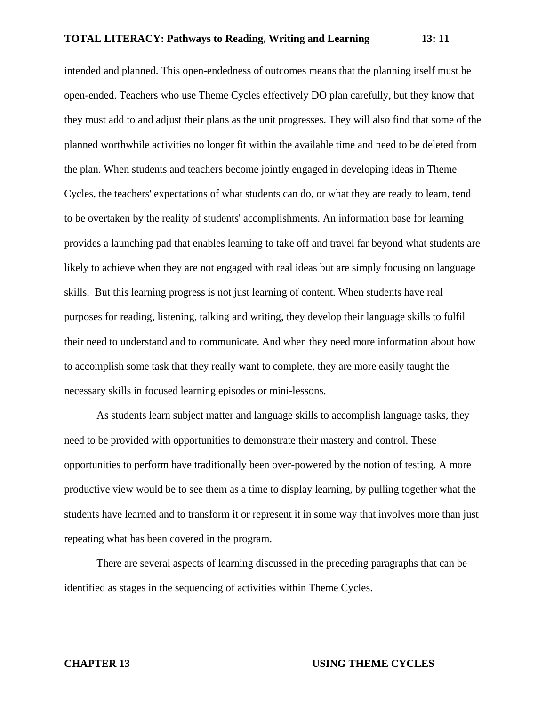intended and planned. This open-endedness of outcomes means that the planning itself must be open-ended. Teachers who use Theme Cycles effectively DO plan carefully, but they know that they must add to and adjust their plans as the unit progresses. They will also find that some of the planned worthwhile activities no longer fit within the available time and need to be deleted from the plan. When students and teachers become jointly engaged in developing ideas in Theme Cycles, the teachers' expectations of what students can do, or what they are ready to learn, tend to be overtaken by the reality of students' accomplishments. An information base for learning provides a launching pad that enables learning to take off and travel far beyond what students are likely to achieve when they are not engaged with real ideas but are simply focusing on language skills. But this learning progress is not just learning of content. When students have real purposes for reading, listening, talking and writing, they develop their language skills to fulfil their need to understand and to communicate. And when they need more information about how to accomplish some task that they really want to complete, they are more easily taught the necessary skills in focused learning episodes or mini-lessons.

 As students learn subject matter and language skills to accomplish language tasks, they need to be provided with opportunities to demonstrate their mastery and control. These opportunities to perform have traditionally been over-powered by the notion of testing. A more productive view would be to see them as a time to display learning, by pulling together what the students have learned and to transform it or represent it in some way that involves more than just repeating what has been covered in the program.

 There are several aspects of learning discussed in the preceding paragraphs that can be identified as stages in the sequencing of activities within Theme Cycles.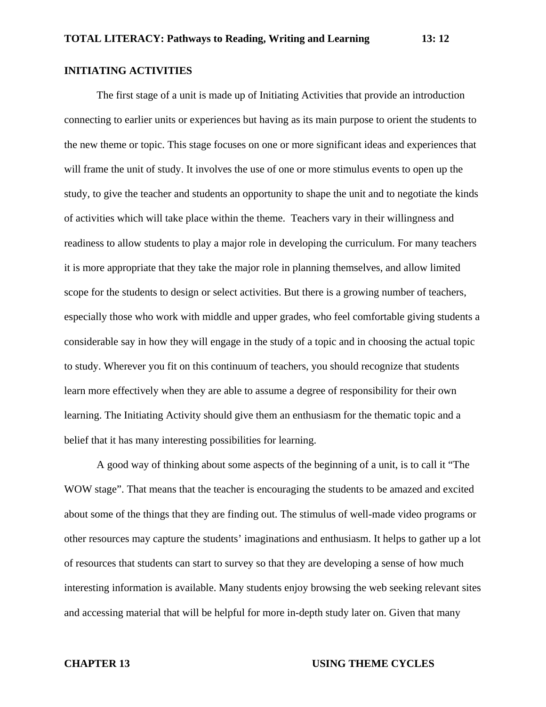## **INITIATING ACTIVITIES**

 The first stage of a unit is made up of Initiating Activities that provide an introduction connecting to earlier units or experiences but having as its main purpose to orient the students to the new theme or topic. This stage focuses on one or more significant ideas and experiences that will frame the unit of study. It involves the use of one or more stimulus events to open up the study, to give the teacher and students an opportunity to shape the unit and to negotiate the kinds of activities which will take place within the theme. Teachers vary in their willingness and readiness to allow students to play a major role in developing the curriculum. For many teachers it is more appropriate that they take the major role in planning themselves, and allow limited scope for the students to design or select activities. But there is a growing number of teachers, especially those who work with middle and upper grades, who feel comfortable giving students a considerable say in how they will engage in the study of a topic and in choosing the actual topic to study. Wherever you fit on this continuum of teachers, you should recognize that students learn more effectively when they are able to assume a degree of responsibility for their own learning. The Initiating Activity should give them an enthusiasm for the thematic topic and a belief that it has many interesting possibilities for learning.

 A good way of thinking about some aspects of the beginning of a unit, is to call it "The WOW stage". That means that the teacher is encouraging the students to be amazed and excited about some of the things that they are finding out. The stimulus of well-made video programs or other resources may capture the students' imaginations and enthusiasm. It helps to gather up a lot of resources that students can start to survey so that they are developing a sense of how much interesting information is available. Many students enjoy browsing the web seeking relevant sites and accessing material that will be helpful for more in-depth study later on. Given that many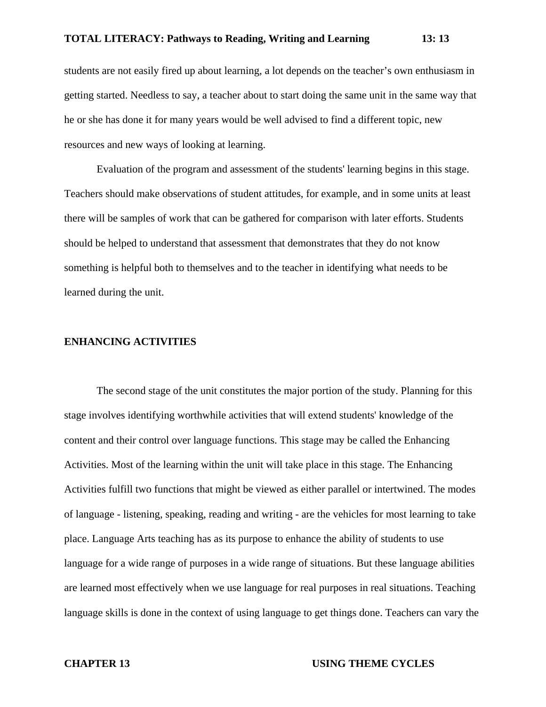students are not easily fired up about learning, a lot depends on the teacher's own enthusiasm in getting started. Needless to say, a teacher about to start doing the same unit in the same way that he or she has done it for many years would be well advised to find a different topic, new resources and new ways of looking at learning.

 Evaluation of the program and assessment of the students' learning begins in this stage. Teachers should make observations of student attitudes, for example, and in some units at least there will be samples of work that can be gathered for comparison with later efforts. Students should be helped to understand that assessment that demonstrates that they do not know something is helpful both to themselves and to the teacher in identifying what needs to be learned during the unit.

### **ENHANCING ACTIVITIES**

 The second stage of the unit constitutes the major portion of the study. Planning for this stage involves identifying worthwhile activities that will extend students' knowledge of the content and their control over language functions. This stage may be called the Enhancing Activities. Most of the learning within the unit will take place in this stage. The Enhancing Activities fulfill two functions that might be viewed as either parallel or intertwined. The modes of language - listening, speaking, reading and writing - are the vehicles for most learning to take place. Language Arts teaching has as its purpose to enhance the ability of students to use language for a wide range of purposes in a wide range of situations. But these language abilities are learned most effectively when we use language for real purposes in real situations. Teaching language skills is done in the context of using language to get things done. Teachers can vary the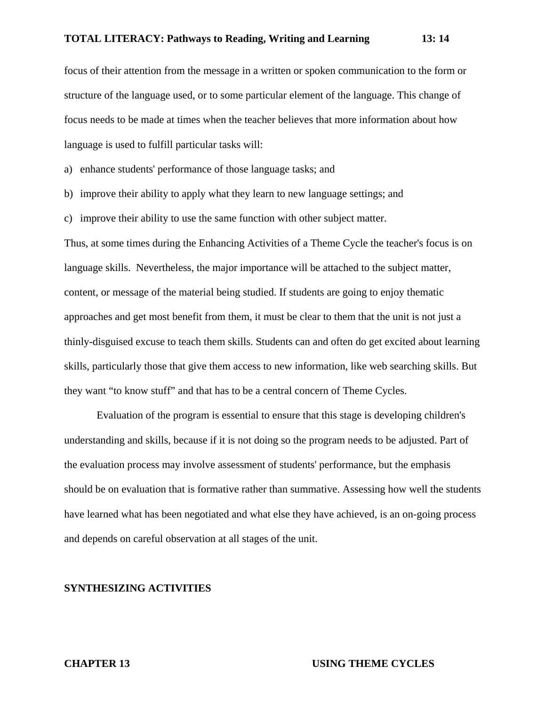focus of their attention from the message in a written or spoken communication to the form or structure of the language used, or to some particular element of the language. This change of focus needs to be made at times when the teacher believes that more information about how language is used to fulfill particular tasks will:

a) enhance students' performance of those language tasks; and

b) improve their ability to apply what they learn to new language settings; and

c) improve their ability to use the same function with other subject matter.

Thus, at some times during the Enhancing Activities of a Theme Cycle the teacher's focus is on language skills. Nevertheless, the major importance will be attached to the subject matter, content, or message of the material being studied. If students are going to enjoy thematic approaches and get most benefit from them, it must be clear to them that the unit is not just a thinly-disguised excuse to teach them skills. Students can and often do get excited about learning skills, particularly those that give them access to new information, like web searching skills. But they want "to know stuff" and that has to be a central concern of Theme Cycles.

 Evaluation of the program is essential to ensure that this stage is developing children's understanding and skills, because if it is not doing so the program needs to be adjusted. Part of the evaluation process may involve assessment of students' performance, but the emphasis should be on evaluation that is formative rather than summative. Assessing how well the students have learned what has been negotiated and what else they have achieved, is an on-going process and depends on careful observation at all stages of the unit.

### **SYNTHESIZING ACTIVITIES**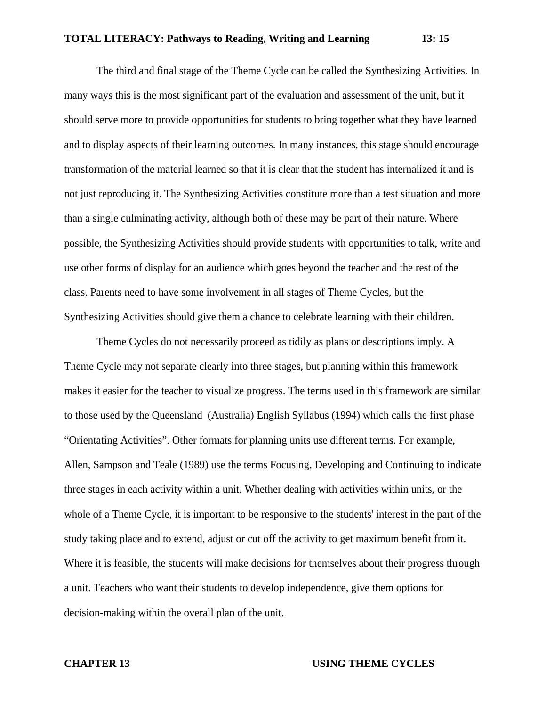The third and final stage of the Theme Cycle can be called the Synthesizing Activities. In many ways this is the most significant part of the evaluation and assessment of the unit, but it should serve more to provide opportunities for students to bring together what they have learned and to display aspects of their learning outcomes. In many instances, this stage should encourage transformation of the material learned so that it is clear that the student has internalized it and is not just reproducing it. The Synthesizing Activities constitute more than a test situation and more than a single culminating activity, although both of these may be part of their nature. Where possible, the Synthesizing Activities should provide students with opportunities to talk, write and use other forms of display for an audience which goes beyond the teacher and the rest of the class. Parents need to have some involvement in all stages of Theme Cycles, but the Synthesizing Activities should give them a chance to celebrate learning with their children.

 Theme Cycles do not necessarily proceed as tidily as plans or descriptions imply. A Theme Cycle may not separate clearly into three stages, but planning within this framework makes it easier for the teacher to visualize progress. The terms used in this framework are similar to those used by the Queensland (Australia) English Syllabus (1994) which calls the first phase "Orientating Activities". Other formats for planning units use different terms. For example, Allen, Sampson and Teale (1989) use the terms Focusing, Developing and Continuing to indicate three stages in each activity within a unit. Whether dealing with activities within units, or the whole of a Theme Cycle, it is important to be responsive to the students' interest in the part of the study taking place and to extend, adjust or cut off the activity to get maximum benefit from it. Where it is feasible, the students will make decisions for themselves about their progress through a unit. Teachers who want their students to develop independence, give them options for decision-making within the overall plan of the unit.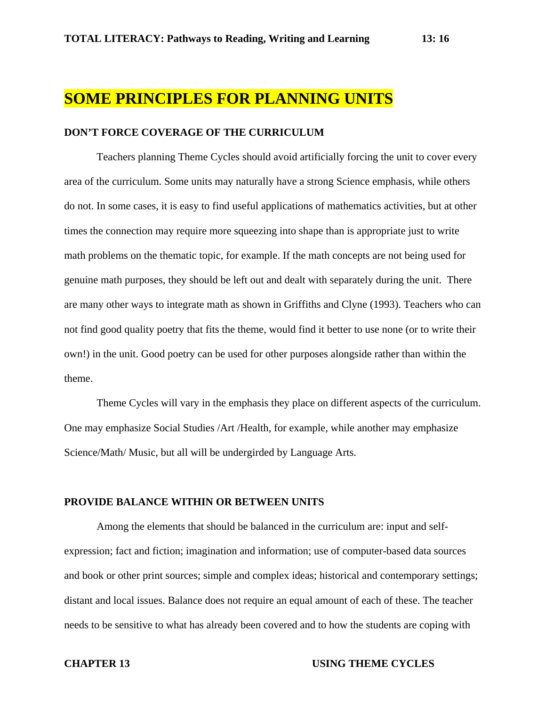# **SOME PRINCIPLES FOR PLANNING UNITS**

### **DON'T FORCE COVERAGE OF THE CURRICULUM**

 Teachers planning Theme Cycles should avoid artificially forcing the unit to cover every area of the curriculum. Some units may naturally have a strong Science emphasis, while others do not. In some cases, it is easy to find useful applications of mathematics activities, but at other times the connection may require more squeezing into shape than is appropriate just to write math problems on the thematic topic, for example. If the math concepts are not being used for genuine math purposes, they should be left out and dealt with separately during the unit. There are many other ways to integrate math as shown in Griffiths and Clyne (1993). Teachers who can not find good quality poetry that fits the theme, would find it better to use none (or to write their own!) in the unit. Good poetry can be used for other purposes alongside rather than within the theme.

 Theme Cycles will vary in the emphasis they place on different aspects of the curriculum. One may emphasize Social Studies /Art /Health, for example, while another may emphasize Science/Math/ Music, but all will be undergirded by Language Arts.

### **PROVIDE BALANCE WITHIN OR BETWEEN UNITS**

 Among the elements that should be balanced in the curriculum are: input and selfexpression; fact and fiction; imagination and information; use of computer-based data sources and book or other print sources; simple and complex ideas; historical and contemporary settings; distant and local issues. Balance does not require an equal amount of each of these. The teacher needs to be sensitive to what has already been covered and to how the students are coping with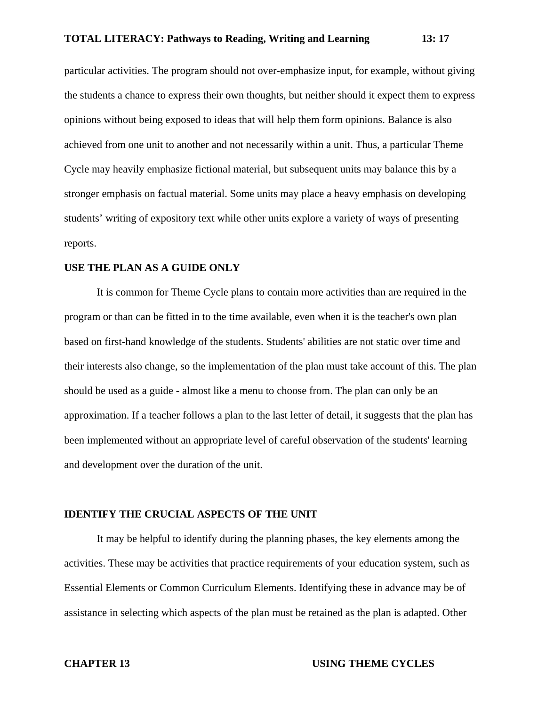particular activities. The program should not over-emphasize input, for example, without giving the students a chance to express their own thoughts, but neither should it expect them to express opinions without being exposed to ideas that will help them form opinions. Balance is also achieved from one unit to another and not necessarily within a unit. Thus, a particular Theme Cycle may heavily emphasize fictional material, but subsequent units may balance this by a stronger emphasis on factual material. Some units may place a heavy emphasis on developing students' writing of expository text while other units explore a variety of ways of presenting reports.

### **USE THE PLAN AS A GUIDE ONLY**

 It is common for Theme Cycle plans to contain more activities than are required in the program or than can be fitted in to the time available, even when it is the teacher's own plan based on first-hand knowledge of the students. Students' abilities are not static over time and their interests also change, so the implementation of the plan must take account of this. The plan should be used as a guide - almost like a menu to choose from. The plan can only be an approximation. If a teacher follows a plan to the last letter of detail, it suggests that the plan has been implemented without an appropriate level of careful observation of the students' learning and development over the duration of the unit.

### **IDENTIFY THE CRUCIAL ASPECTS OF THE UNIT**

 It may be helpful to identify during the planning phases, the key elements among the activities. These may be activities that practice requirements of your education system, such as Essential Elements or Common Curriculum Elements. Identifying these in advance may be of assistance in selecting which aspects of the plan must be retained as the plan is adapted. Other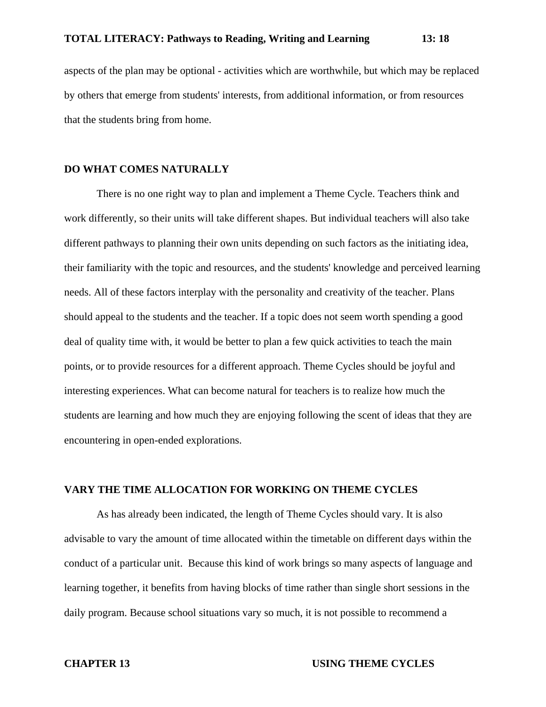aspects of the plan may be optional - activities which are worthwhile, but which may be replaced by others that emerge from students' interests, from additional information, or from resources that the students bring from home.

### **DO WHAT COMES NATURALLY**

 There is no one right way to plan and implement a Theme Cycle. Teachers think and work differently, so their units will take different shapes. But individual teachers will also take different pathways to planning their own units depending on such factors as the initiating idea, their familiarity with the topic and resources, and the students' knowledge and perceived learning needs. All of these factors interplay with the personality and creativity of the teacher. Plans should appeal to the students and the teacher. If a topic does not seem worth spending a good deal of quality time with, it would be better to plan a few quick activities to teach the main points, or to provide resources for a different approach. Theme Cycles should be joyful and interesting experiences. What can become natural for teachers is to realize how much the students are learning and how much they are enjoying following the scent of ideas that they are encountering in open-ended explorations.

### **VARY THE TIME ALLOCATION FOR WORKING ON THEME CYCLES**

 As has already been indicated, the length of Theme Cycles should vary. It is also advisable to vary the amount of time allocated within the timetable on different days within the conduct of a particular unit. Because this kind of work brings so many aspects of language and learning together, it benefits from having blocks of time rather than single short sessions in the daily program. Because school situations vary so much, it is not possible to recommend a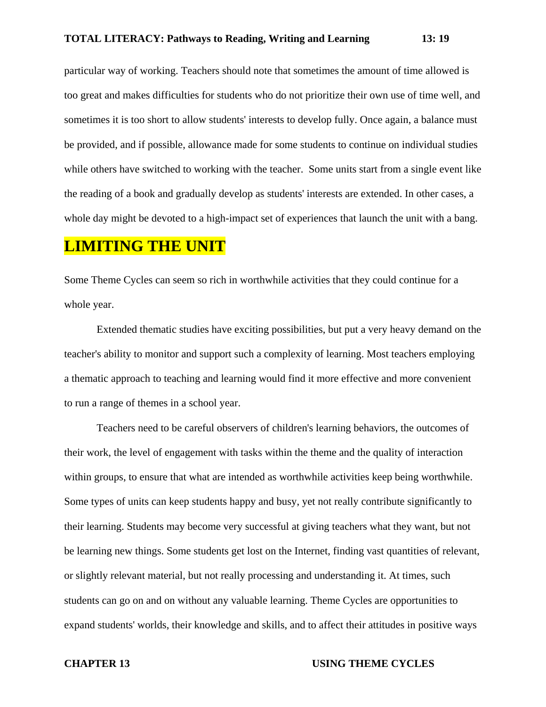particular way of working. Teachers should note that sometimes the amount of time allowed is too great and makes difficulties for students who do not prioritize their own use of time well, and sometimes it is too short to allow students' interests to develop fully. Once again, a balance must be provided, and if possible, allowance made for some students to continue on individual studies while others have switched to working with the teacher. Some units start from a single event like the reading of a book and gradually develop as students' interests are extended. In other cases, a whole day might be devoted to a high-impact set of experiences that launch the unit with a bang.

## **LIMITING THE UNIT**

Some Theme Cycles can seem so rich in worthwhile activities that they could continue for a whole year.

 Extended thematic studies have exciting possibilities, but put a very heavy demand on the teacher's ability to monitor and support such a complexity of learning. Most teachers employing a thematic approach to teaching and learning would find it more effective and more convenient to run a range of themes in a school year.

 Teachers need to be careful observers of children's learning behaviors, the outcomes of their work, the level of engagement with tasks within the theme and the quality of interaction within groups, to ensure that what are intended as worthwhile activities keep being worthwhile. Some types of units can keep students happy and busy, yet not really contribute significantly to their learning. Students may become very successful at giving teachers what they want, but not be learning new things. Some students get lost on the Internet, finding vast quantities of relevant, or slightly relevant material, but not really processing and understanding it. At times, such students can go on and on without any valuable learning. Theme Cycles are opportunities to expand students' worlds, their knowledge and skills, and to affect their attitudes in positive ways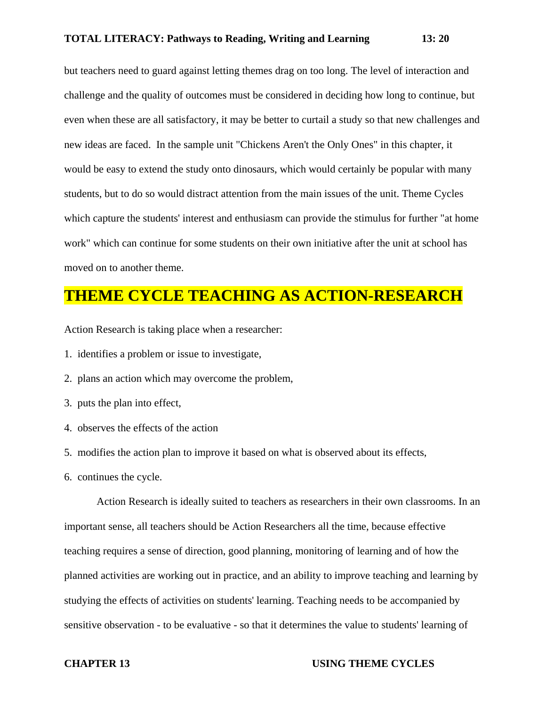but teachers need to guard against letting themes drag on too long. The level of interaction and challenge and the quality of outcomes must be considered in deciding how long to continue, but even when these are all satisfactory, it may be better to curtail a study so that new challenges and new ideas are faced. In the sample unit "Chickens Aren't the Only Ones" in this chapter, it would be easy to extend the study onto dinosaurs, which would certainly be popular with many students, but to do so would distract attention from the main issues of the unit. Theme Cycles which capture the students' interest and enthusiasm can provide the stimulus for further "at home work" which can continue for some students on their own initiative after the unit at school has moved on to another theme.

## **THEME CYCLE TEACHING AS ACTION-RESEARCH**

Action Research is taking place when a researcher:

- 1. identifies a problem or issue to investigate,
- 2. plans an action which may overcome the problem,
- 3. puts the plan into effect,
- 4. observes the effects of the action
- 5. modifies the action plan to improve it based on what is observed about its effects,
- 6. continues the cycle.

 Action Research is ideally suited to teachers as researchers in their own classrooms. In an important sense, all teachers should be Action Researchers all the time, because effective teaching requires a sense of direction, good planning, monitoring of learning and of how the planned activities are working out in practice, and an ability to improve teaching and learning by studying the effects of activities on students' learning. Teaching needs to be accompanied by sensitive observation - to be evaluative - so that it determines the value to students' learning of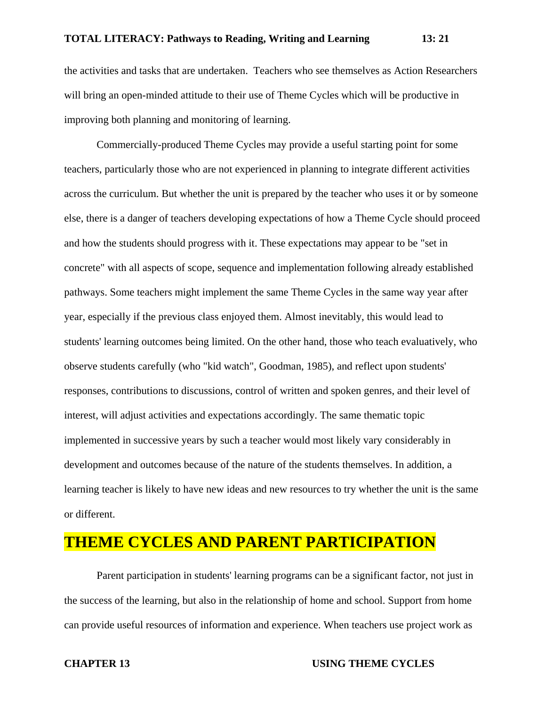the activities and tasks that are undertaken. Teachers who see themselves as Action Researchers will bring an open-minded attitude to their use of Theme Cycles which will be productive in improving both planning and monitoring of learning.

 Commercially-produced Theme Cycles may provide a useful starting point for some teachers, particularly those who are not experienced in planning to integrate different activities across the curriculum. But whether the unit is prepared by the teacher who uses it or by someone else, there is a danger of teachers developing expectations of how a Theme Cycle should proceed and how the students should progress with it. These expectations may appear to be "set in concrete" with all aspects of scope, sequence and implementation following already established pathways. Some teachers might implement the same Theme Cycles in the same way year after year, especially if the previous class enjoyed them. Almost inevitably, this would lead to students' learning outcomes being limited. On the other hand, those who teach evaluatively, who observe students carefully (who "kid watch", Goodman, 1985), and reflect upon students' responses, contributions to discussions, control of written and spoken genres, and their level of interest, will adjust activities and expectations accordingly. The same thematic topic implemented in successive years by such a teacher would most likely vary considerably in development and outcomes because of the nature of the students themselves. In addition, a learning teacher is likely to have new ideas and new resources to try whether the unit is the same or different.

# **THEME CYCLES AND PARENT PARTICIPATION**

 Parent participation in students' learning programs can be a significant factor, not just in the success of the learning, but also in the relationship of home and school. Support from home can provide useful resources of information and experience. When teachers use project work as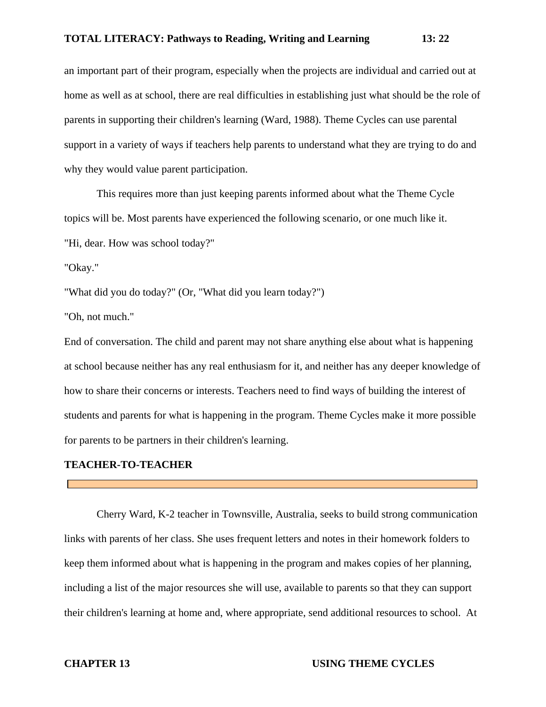an important part of their program, especially when the projects are individual and carried out at home as well as at school, there are real difficulties in establishing just what should be the role of parents in supporting their children's learning (Ward, 1988). Theme Cycles can use parental support in a variety of ways if teachers help parents to understand what they are trying to do and why they would value parent participation.

 This requires more than just keeping parents informed about what the Theme Cycle topics will be. Most parents have experienced the following scenario, or one much like it. "Hi, dear. How was school today?"

"Okay."

"What did you do today?" (Or, "What did you learn today?")

"Oh, not much."

End of conversation. The child and parent may not share anything else about what is happening at school because neither has any real enthusiasm for it, and neither has any deeper knowledge of how to share their concerns or interests. Teachers need to find ways of building the interest of students and parents for what is happening in the program. Theme Cycles make it more possible for parents to be partners in their children's learning.

### **TEACHER-TO-TEACHER**

 Cherry Ward, K-2 teacher in Townsville, Australia, seeks to build strong communication links with parents of her class. She uses frequent letters and notes in their homework folders to keep them informed about what is happening in the program and makes copies of her planning, including a list of the major resources she will use, available to parents so that they can support their children's learning at home and, where appropriate, send additional resources to school. At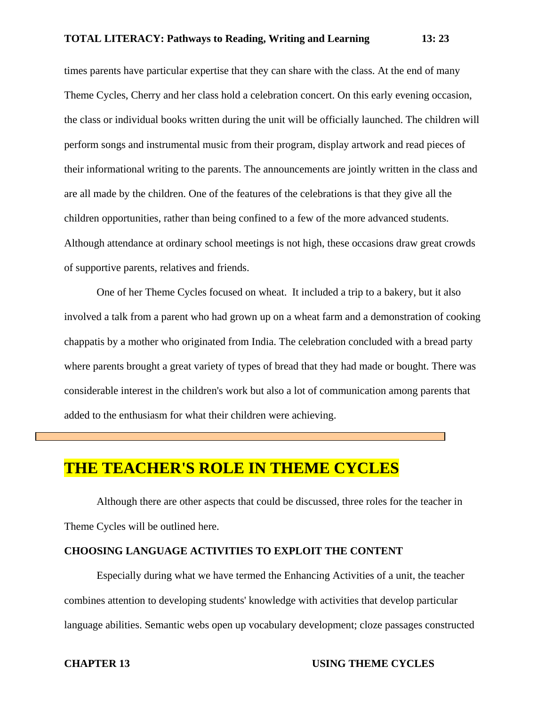times parents have particular expertise that they can share with the class. At the end of many Theme Cycles, Cherry and her class hold a celebration concert. On this early evening occasion, the class or individual books written during the unit will be officially launched. The children will perform songs and instrumental music from their program, display artwork and read pieces of their informational writing to the parents. The announcements are jointly written in the class and are all made by the children. One of the features of the celebrations is that they give all the children opportunities, rather than being confined to a few of the more advanced students. Although attendance at ordinary school meetings is not high, these occasions draw great crowds of supportive parents, relatives and friends.

 One of her Theme Cycles focused on wheat. It included a trip to a bakery, but it also involved a talk from a parent who had grown up on a wheat farm and a demonstration of cooking chappatis by a mother who originated from India. The celebration concluded with a bread party where parents brought a great variety of types of bread that they had made or bought. There was considerable interest in the children's work but also a lot of communication among parents that added to the enthusiasm for what their children were achieving.

# **THE TEACHER'S ROLE IN THEME CYCLES**

 Although there are other aspects that could be discussed, three roles for the teacher in Theme Cycles will be outlined here.

### **CHOOSING LANGUAGE ACTIVITIES TO EXPLOIT THE CONTENT**

 Especially during what we have termed the Enhancing Activities of a unit, the teacher combines attention to developing students' knowledge with activities that develop particular language abilities. Semantic webs open up vocabulary development; cloze passages constructed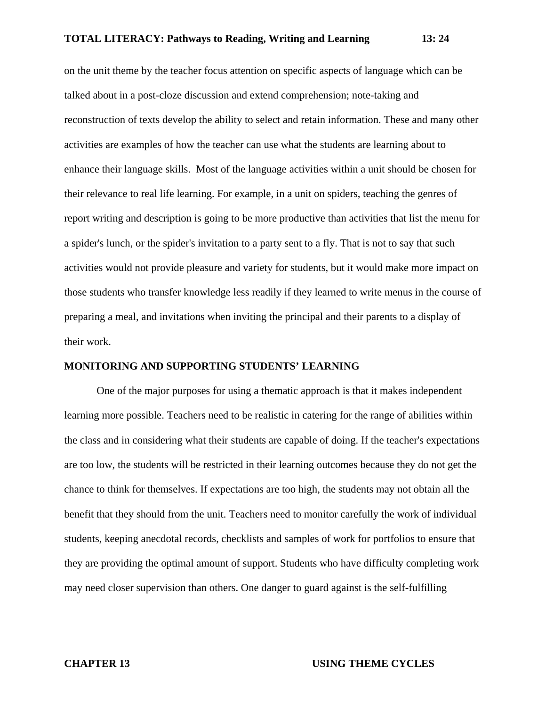on the unit theme by the teacher focus attention on specific aspects of language which can be talked about in a post-cloze discussion and extend comprehension; note-taking and reconstruction of texts develop the ability to select and retain information. These and many other activities are examples of how the teacher can use what the students are learning about to enhance their language skills. Most of the language activities within a unit should be chosen for their relevance to real life learning. For example, in a unit on spiders, teaching the genres of report writing and description is going to be more productive than activities that list the menu for a spider's lunch, or the spider's invitation to a party sent to a fly. That is not to say that such activities would not provide pleasure and variety for students, but it would make more impact on those students who transfer knowledge less readily if they learned to write menus in the course of preparing a meal, and invitations when inviting the principal and their parents to a display of their work.

### **MONITORING AND SUPPORTING STUDENTS' LEARNING**

 One of the major purposes for using a thematic approach is that it makes independent learning more possible. Teachers need to be realistic in catering for the range of abilities within the class and in considering what their students are capable of doing. If the teacher's expectations are too low, the students will be restricted in their learning outcomes because they do not get the chance to think for themselves. If expectations are too high, the students may not obtain all the benefit that they should from the unit. Teachers need to monitor carefully the work of individual students, keeping anecdotal records, checklists and samples of work for portfolios to ensure that they are providing the optimal amount of support. Students who have difficulty completing work may need closer supervision than others. One danger to guard against is the self-fulfilling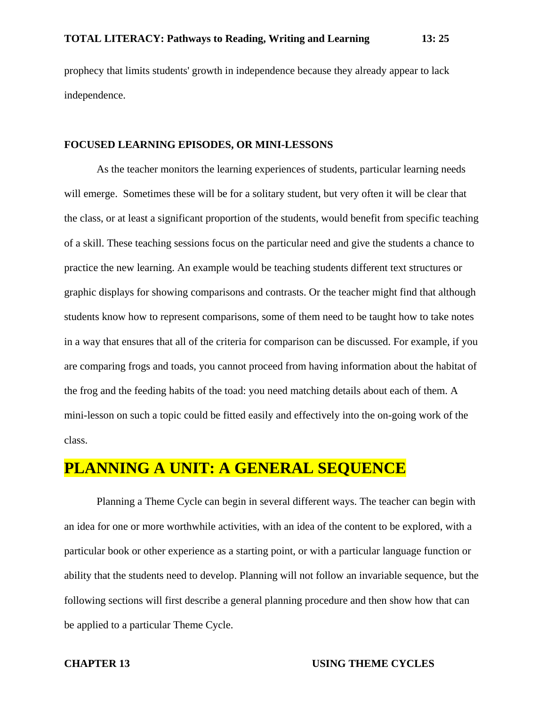prophecy that limits students' growth in independence because they already appear to lack independence.

### **FOCUSED LEARNING EPISODES, OR MINI-LESSONS**

 As the teacher monitors the learning experiences of students, particular learning needs will emerge. Sometimes these will be for a solitary student, but very often it will be clear that the class, or at least a significant proportion of the students, would benefit from specific teaching of a skill. These teaching sessions focus on the particular need and give the students a chance to practice the new learning. An example would be teaching students different text structures or graphic displays for showing comparisons and contrasts. Or the teacher might find that although students know how to represent comparisons, some of them need to be taught how to take notes in a way that ensures that all of the criteria for comparison can be discussed. For example, if you are comparing frogs and toads, you cannot proceed from having information about the habitat of the frog and the feeding habits of the toad: you need matching details about each of them. A mini-lesson on such a topic could be fitted easily and effectively into the on-going work of the class.

# **PLANNING A UNIT: A GENERAL SEQUENCE**

 Planning a Theme Cycle can begin in several different ways. The teacher can begin with an idea for one or more worthwhile activities, with an idea of the content to be explored, with a particular book or other experience as a starting point, or with a particular language function or ability that the students need to develop. Planning will not follow an invariable sequence, but the following sections will first describe a general planning procedure and then show how that can be applied to a particular Theme Cycle.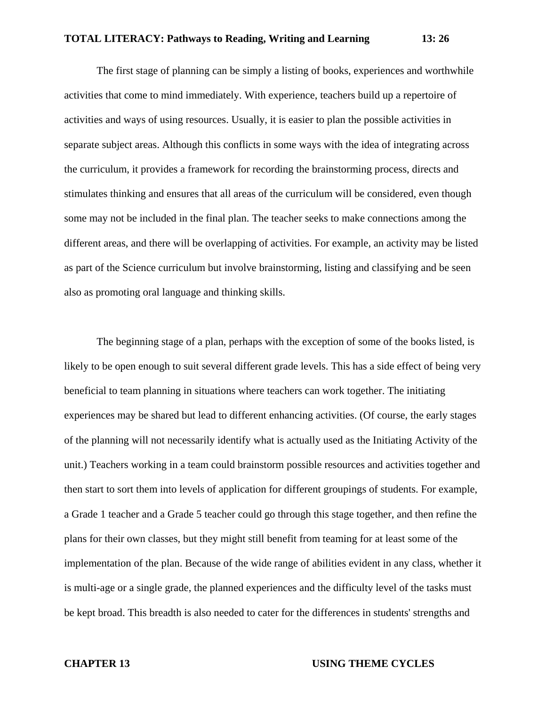The first stage of planning can be simply a listing of books, experiences and worthwhile activities that come to mind immediately. With experience, teachers build up a repertoire of activities and ways of using resources. Usually, it is easier to plan the possible activities in separate subject areas. Although this conflicts in some ways with the idea of integrating across the curriculum, it provides a framework for recording the brainstorming process, directs and stimulates thinking and ensures that all areas of the curriculum will be considered, even though some may not be included in the final plan. The teacher seeks to make connections among the different areas, and there will be overlapping of activities. For example, an activity may be listed as part of the Science curriculum but involve brainstorming, listing and classifying and be seen also as promoting oral language and thinking skills.

 The beginning stage of a plan, perhaps with the exception of some of the books listed, is likely to be open enough to suit several different grade levels. This has a side effect of being very beneficial to team planning in situations where teachers can work together. The initiating experiences may be shared but lead to different enhancing activities. (Of course, the early stages of the planning will not necessarily identify what is actually used as the Initiating Activity of the unit.) Teachers working in a team could brainstorm possible resources and activities together and then start to sort them into levels of application for different groupings of students. For example, a Grade 1 teacher and a Grade 5 teacher could go through this stage together, and then refine the plans for their own classes, but they might still benefit from teaming for at least some of the implementation of the plan. Because of the wide range of abilities evident in any class, whether it is multi-age or a single grade, the planned experiences and the difficulty level of the tasks must be kept broad. This breadth is also needed to cater for the differences in students' strengths and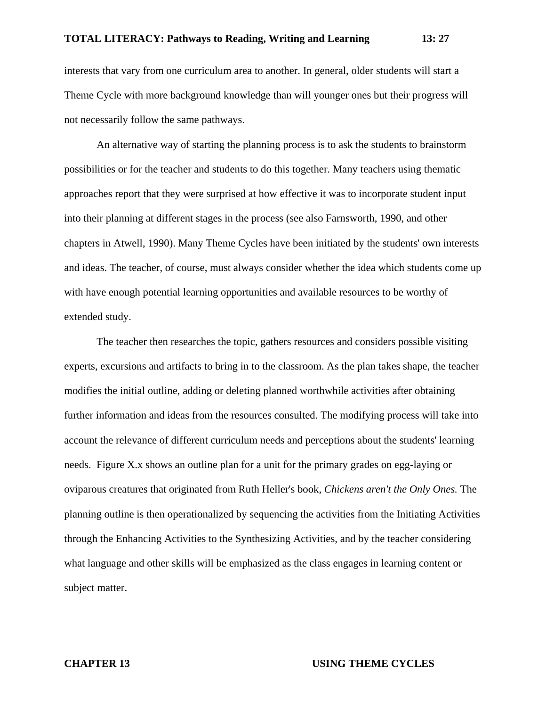interests that vary from one curriculum area to another. In general, older students will start a Theme Cycle with more background knowledge than will younger ones but their progress will not necessarily follow the same pathways.

 An alternative way of starting the planning process is to ask the students to brainstorm possibilities or for the teacher and students to do this together. Many teachers using thematic approaches report that they were surprised at how effective it was to incorporate student input into their planning at different stages in the process (see also Farnsworth, 1990, and other chapters in Atwell, 1990). Many Theme Cycles have been initiated by the students' own interests and ideas. The teacher, of course, must always consider whether the idea which students come up with have enough potential learning opportunities and available resources to be worthy of extended study.

 The teacher then researches the topic, gathers resources and considers possible visiting experts, excursions and artifacts to bring in to the classroom. As the plan takes shape, the teacher modifies the initial outline, adding or deleting planned worthwhile activities after obtaining further information and ideas from the resources consulted. The modifying process will take into account the relevance of different curriculum needs and perceptions about the students' learning needs. Figure X.x shows an outline plan for a unit for the primary grades on egg-laying or oviparous creatures that originated from Ruth Heller's book, *Chickens aren't the Only Ones.* The planning outline is then operationalized by sequencing the activities from the Initiating Activities through the Enhancing Activities to the Synthesizing Activities, and by the teacher considering what language and other skills will be emphasized as the class engages in learning content or subject matter.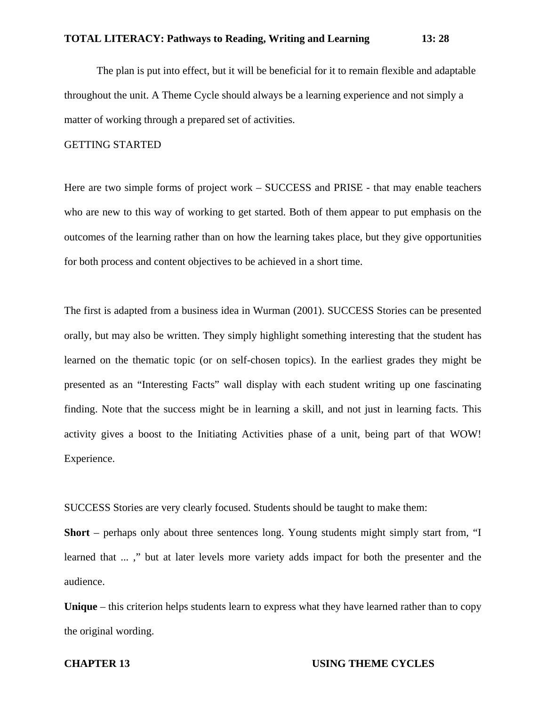The plan is put into effect, but it will be beneficial for it to remain flexible and adaptable throughout the unit. A Theme Cycle should always be a learning experience and not simply a matter of working through a prepared set of activities.

### GETTING STARTED

Here are two simple forms of project work – SUCCESS and PRISE - that may enable teachers who are new to this way of working to get started. Both of them appear to put emphasis on the outcomes of the learning rather than on how the learning takes place, but they give opportunities for both process and content objectives to be achieved in a short time.

The first is adapted from a business idea in Wurman (2001). SUCCESS Stories can be presented orally, but may also be written. They simply highlight something interesting that the student has learned on the thematic topic (or on self-chosen topics). In the earliest grades they might be presented as an "Interesting Facts" wall display with each student writing up one fascinating finding. Note that the success might be in learning a skill, and not just in learning facts. This activity gives a boost to the Initiating Activities phase of a unit, being part of that WOW! Experience.

SUCCESS Stories are very clearly focused. Students should be taught to make them:

**Short** – perhaps only about three sentences long. Young students might simply start from, "I learned that ... ," but at later levels more variety adds impact for both the presenter and the audience.

**Unique** – this criterion helps students learn to express what they have learned rather than to copy the original wording.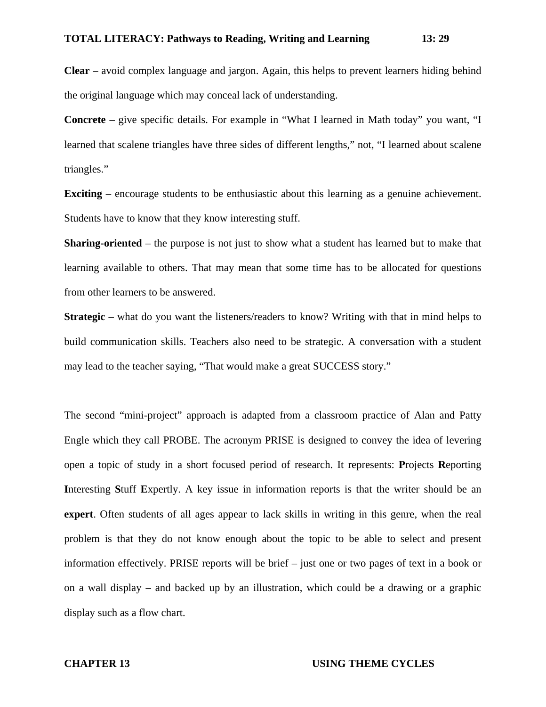**Clear** – avoid complex language and jargon. Again, this helps to prevent learners hiding behind the original language which may conceal lack of understanding.

**Concrete** – give specific details. For example in "What I learned in Math today" you want, "I learned that scalene triangles have three sides of different lengths," not, "I learned about scalene triangles."

**Exciting** – encourage students to be enthusiastic about this learning as a genuine achievement. Students have to know that they know interesting stuff.

**Sharing-oriented** – the purpose is not just to show what a student has learned but to make that learning available to others. That may mean that some time has to be allocated for questions from other learners to be answered.

**Strategic** – what do you want the listeners/readers to know? Writing with that in mind helps to build communication skills. Teachers also need to be strategic. A conversation with a student may lead to the teacher saying, "That would make a great SUCCESS story."

The second "mini-project" approach is adapted from a classroom practice of Alan and Patty Engle which they call PROBE. The acronym PRISE is designed to convey the idea of levering open a topic of study in a short focused period of research. It represents: **P**rojects **R**eporting **I**nteresting **S**tuff **E**xpertly. A key issue in information reports is that the writer should be an **expert**. Often students of all ages appear to lack skills in writing in this genre, when the real problem is that they do not know enough about the topic to be able to select and present information effectively. PRISE reports will be brief – just one or two pages of text in a book or on a wall display – and backed up by an illustration, which could be a drawing or a graphic display such as a flow chart.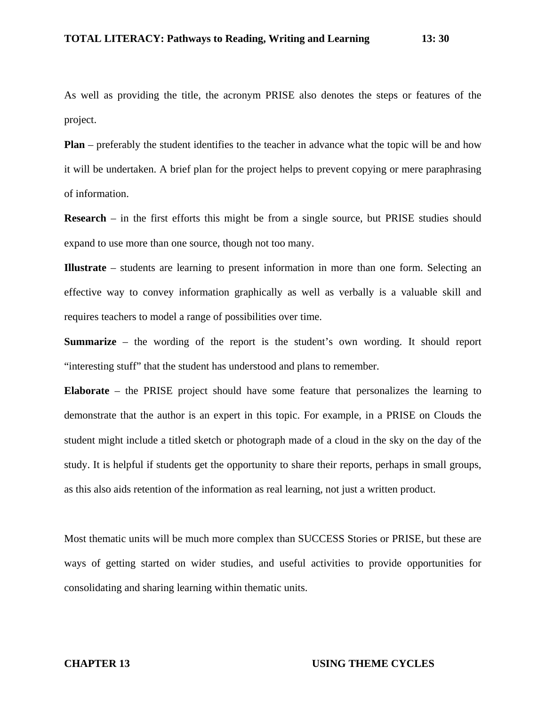As well as providing the title, the acronym PRISE also denotes the steps or features of the project.

**Plan** – preferably the student identifies to the teacher in advance what the topic will be and how it will be undertaken. A brief plan for the project helps to prevent copying or mere paraphrasing of information.

**Research** – in the first efforts this might be from a single source, but PRISE studies should expand to use more than one source, though not too many.

**Illustrate** – students are learning to present information in more than one form. Selecting an effective way to convey information graphically as well as verbally is a valuable skill and requires teachers to model a range of possibilities over time.

**Summarize** – the wording of the report is the student's own wording. It should report "interesting stuff" that the student has understood and plans to remember.

**Elaborate** – the PRISE project should have some feature that personalizes the learning to demonstrate that the author is an expert in this topic. For example, in a PRISE on Clouds the student might include a titled sketch or photograph made of a cloud in the sky on the day of the study. It is helpful if students get the opportunity to share their reports, perhaps in small groups, as this also aids retention of the information as real learning, not just a written product.

Most thematic units will be much more complex than SUCCESS Stories or PRISE, but these are ways of getting started on wider studies, and useful activities to provide opportunities for consolidating and sharing learning within thematic units.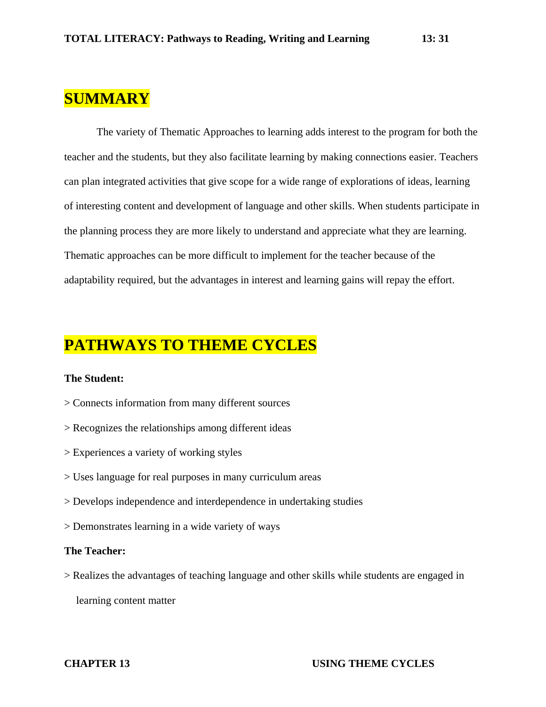# **SUMMARY**

 The variety of Thematic Approaches to learning adds interest to the program for both the teacher and the students, but they also facilitate learning by making connections easier. Teachers can plan integrated activities that give scope for a wide range of explorations of ideas, learning of interesting content and development of language and other skills. When students participate in the planning process they are more likely to understand and appreciate what they are learning. Thematic approaches can be more difficult to implement for the teacher because of the adaptability required, but the advantages in interest and learning gains will repay the effort.

# **PATHWAYS TO THEME CYCLES**

### **The Student:**

- > Connects information from many different sources
- > Recognizes the relationships among different ideas
- > Experiences a variety of working styles
- > Uses language for real purposes in many curriculum areas
- > Develops independence and interdependence in undertaking studies
- > Demonstrates learning in a wide variety of ways

### **The Teacher:**

> Realizes the advantages of teaching language and other skills while students are engaged in

learning content matter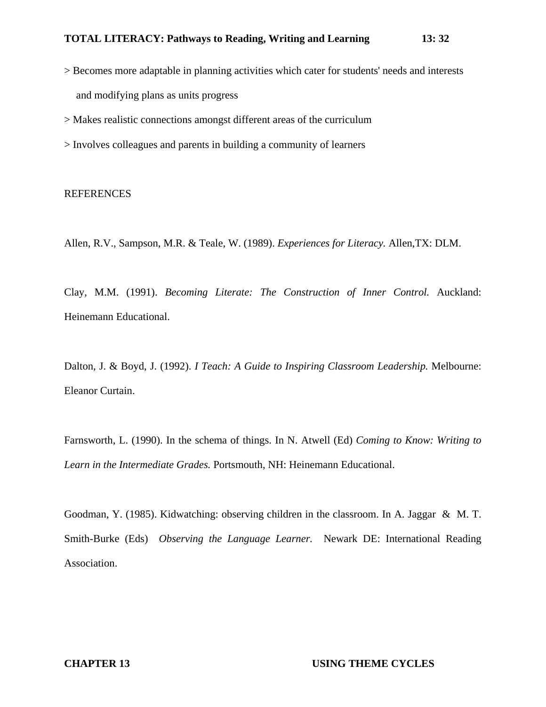- > Becomes more adaptable in planning activities which cater for students' needs and interests and modifying plans as units progress
- > Makes realistic connections amongst different areas of the curriculum
- > Involves colleagues and parents in building a community of learners

### REFERENCES

Allen, R.V., Sampson, M.R. & Teale, W. (1989). *Experiences for Literacy.* Allen,TX: DLM.

Clay, M.M. (1991). *Becoming Literate: The Construction of Inner Control.* Auckland: Heinemann Educational.

Dalton, J. & Boyd, J. (1992). *I Teach: A Guide to Inspiring Classroom Leadership.* Melbourne: Eleanor Curtain.

Farnsworth, L. (1990). In the schema of things. In N. Atwell (Ed) *Coming to Know: Writing to Learn in the Intermediate Grades.* Portsmouth, NH: Heinemann Educational.

Goodman, Y. (1985). Kidwatching: observing children in the classroom. In A. Jaggar & M. T. Smith-Burke (Eds) *Observing the Language Learner.* Newark DE: International Reading Association.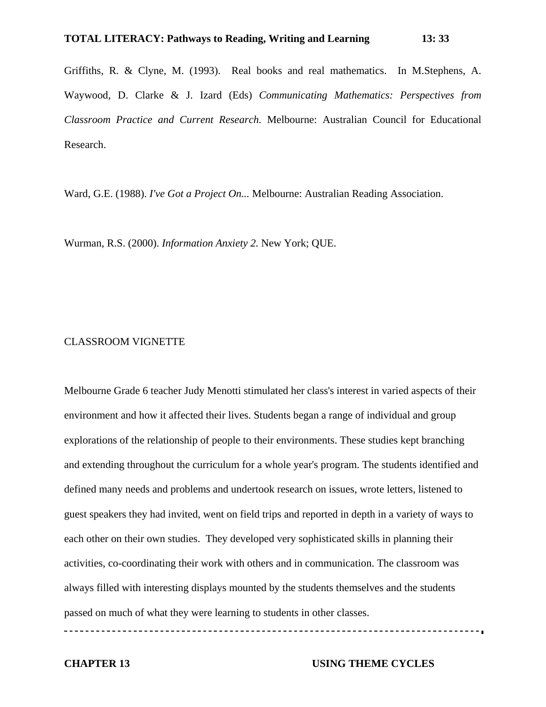Griffiths, R. & Clyne, M. (1993). Real books and real mathematics. In M.Stephens, A. Waywood, D. Clarke & J. Izard (Eds) *Communicating Mathematics: Perspectives from Classroom Practice and Current Research.* Melbourne: Australian Council for Educational Research.

Ward, G.E. (1988). *I've Got a Project On...* Melbourne: Australian Reading Association.

Wurman, R.S. (2000). *Information Anxiety 2.* New York; QUE.

### CLASSROOM VIGNETTE

Melbourne Grade 6 teacher Judy Menotti stimulated her class's interest in varied aspects of their environment and how it affected their lives. Students began a range of individual and group explorations of the relationship of people to their environments. These studies kept branching and extending throughout the curriculum for a whole year's program. The students identified and defined many needs and problems and undertook research on issues, wrote letters, listened to guest speakers they had invited, went on field trips and reported in depth in a variety of ways to each other on their own studies. They developed very sophisticated skills in planning their activities, co-coordinating their work with others and in communication. The classroom was always filled with interesting displays mounted by the students themselves and the students passed on much of what they were learning to students in other classes.

### **CHAPTER 13 USING THEME CYCLES**